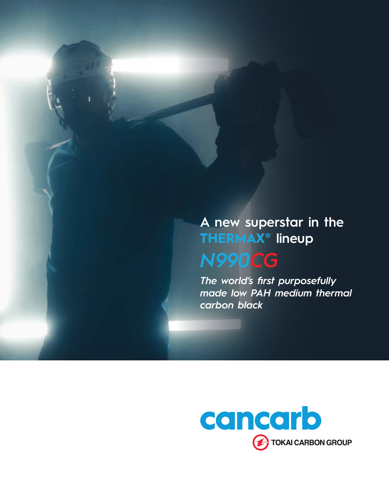### **A new superstar in the THERMAX® lineup** *N990CG*

*The world's first purposefully made low PAH medium thermal carbon black*

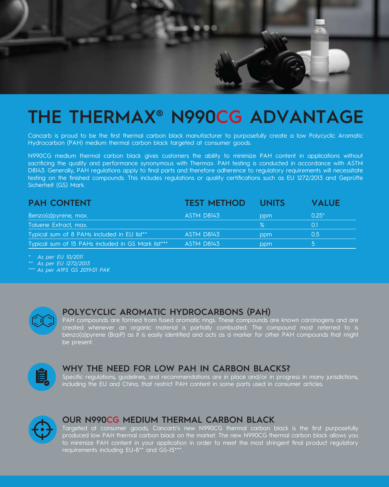

# **THE THERMAX® N990CG ADVANTAGE**

Cancarb is proud to be the first thermal carbon black manufacturer to purposefully create a low Polycyclic Aromatic Hydrocarbon (PAH) medium thermal carbon black targeted at consumer goods.

N990CG medium thermal carbon black gives customers the ability to minimize PAH content in applications without sacrificing the quality and performance synonymous with Thermax. PAH testing is conducted in accordance with ASTM D8143. Generally, PAH regulations apply to final parts and therefore adherence to regulatory requirements will necessitate testing on the finished compounds. This includes regulations or quality certifications such as EU 1272/2013 and Geprüfte Sicherheit (GS) Mark.

| <b>PAH CONTENT</b>                                 | <b>TEST METHOD</b> | <b>UNITS</b> | <b>VALUE</b> |
|----------------------------------------------------|--------------------|--------------|--------------|
| Benzo(a) pyrene, max.                              | <b>ASTM D8143</b>  | ppm          | $0.25*$      |
| Toluene Extract, max.                              |                    | $\%$         | 01           |
| Typical sum of 8 PAHs included in EU list**        | ASTM D8143         | ppm          | 0.5          |
| Typical sum of 15 PAHs included in GS Mark list*** | ASTM D8143         | ppm          | כ י          |

*\* As per EU 10/2011*

*\*\* As per EU 1272/2013*

*\*\*\* As per AfPS GS 2019:01 PAK*

### **POLYCYCLIC AROMATIC HYDROCARBONS (PAH)**

PAH compounds are formed from fused aromatic rings. These compounds are known carcinogens and are created whenever an organic material is partially combusted. The compound most referred to is benzo(a)pyrene (B(a)P) as it is easily identified and acts as a marker for other PAH compounds that might be present.



#### **WHY THE NEED FOR LOW PAH IN CARBON BLACKS?**

Specific regulations, guidelines, and recommendations are in place and/or in progress in many jurisdictions, including the EU and China, that restrict PAH content in some parts used in consumer articles.



#### **OUR N990CG MEDIUM THERMAL CARBON BLACK**

Targeted at consumer goods, Cancarb's new N990CG thermal carbon black is the first purposefully produced low PAH thermal carbon black on the market. The new N990CG thermal carbon black allows you to minimize PAH content in your application in order to meet the most stringent final product regulatory requirements including EU-8\*\* and GS-15\*\*\*.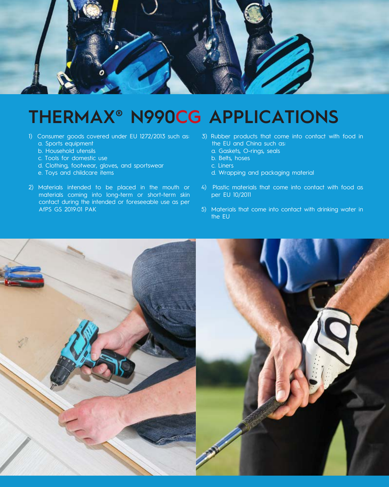

## **THERMAX® N990CG APPLICATIONS**

- 1) Consumer goods covered under EU 1272/2013 such as:
	- a. Sports equipment
	- b. Household utensils
	- c. Tools for domestic use
	- d. Clothing, footwear, gloves, and sportswear
	- e. Toys and childcare items
- 2) Materials intended to be placed in the mouth or materials coming into long-term or short-term skin contact during the intended or foreseeable use as per AfPS GS 2019:01 PAK
- 3) Rubber products that come into contact with food in the EU and China such as:
	- a. Gaskets, O-rings, seals
	- b. Belts, hoses
	- c. Liners
	- d. Wrapping and packaging material
- 4) Plastic materials that come into contact with food as per EU 10/2011
- 5) Materials that come into contact with drinking water in the EU